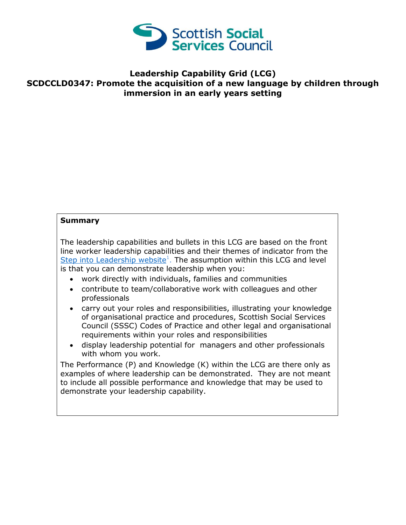

## **Leadership Capability Grid (LCG) SCDCCLD0347: Promote the acquisition of a new language by children through immersion in an early years setting**

## **Summary**

The leadership capabilities and bullets in this LCG are based on the front line worker leadership capabilities and their themes of indicator from the [Step into Leadership website](http://www.stepintoleadership.info/)<sup>1</sup>. The assumption within this LCG and level is that you can demonstrate leadership when you:

- work directly with individuals, families and communities
- contribute to team/collaborative work with colleagues and other professionals
- carry out your roles and responsibilities, illustrating your knowledge of organisational practice and procedures, Scottish Social Services Council (SSSC) Codes of Practice and other legal and organisational requirements within your roles and responsibilities
- display leadership potential for managers and other professionals with whom you work.

The Performance (P) and Knowledge (K) within the LCG are there only as examples of where leadership can be demonstrated. They are not meant to include all possible performance and knowledge that may be used to demonstrate your leadership capability.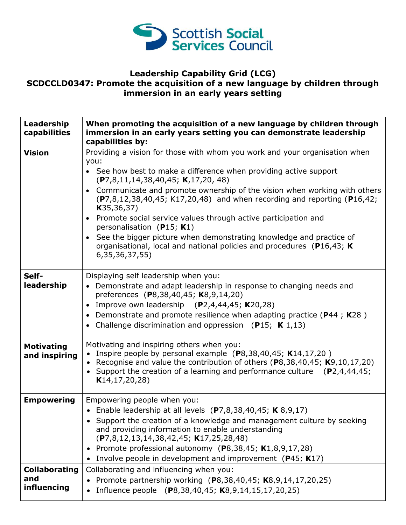

## **Leadership Capability Grid (LCG) SCDCCLD0347: Promote the acquisition of a new language by children through immersion in an early years setting**

| Leadership<br>capabilities                 | When promoting the acquisition of a new language by children through<br>immersion in an early years setting you can demonstrate leadership<br>capabilities by:                                                                                                                                                                                                                                                                                                                                                                                                                                                                                           |
|--------------------------------------------|----------------------------------------------------------------------------------------------------------------------------------------------------------------------------------------------------------------------------------------------------------------------------------------------------------------------------------------------------------------------------------------------------------------------------------------------------------------------------------------------------------------------------------------------------------------------------------------------------------------------------------------------------------|
| <b>Vision</b>                              | Providing a vision for those with whom you work and your organisation when<br>you:<br>• See how best to make a difference when providing active support<br>(P7,8,11,14,38,40,45; K,17,20,48)<br>• Communicate and promote ownership of the vision when working with others<br>$(P7, 8, 12, 38, 40, 45; K17, 20, 48)$ and when recording and reporting (P16,42;<br>K35, 36, 37)<br>• Promote social service values through active participation and<br>personalisation (P15; K1)<br>• See the bigger picture when demonstrating knowledge and practice of<br>organisational, local and national policies and procedures (P16,43; K)<br>6, 35, 36, 37, 55) |
| Self-<br>leadership                        | Displaying self leadership when you:<br>• Demonstrate and adapt leadership in response to changing needs and<br>preferences (P8,38,40,45; K8,9,14,20)<br>Improve own leadership $(P2,4,44,45; K20,28)$<br>• Demonstrate and promote resilience when adapting practice ( $P$ 44; K28)<br>• Challenge discrimination and oppression (P15; $K$ 1,13)                                                                                                                                                                                                                                                                                                        |
| <b>Motivating</b><br>and inspiring         | Motivating and inspiring others when you:<br>• Inspire people by personal example $(P8, 38, 40, 45; K14, 17, 20)$<br>• Recognise and value the contribution of others (P8,38,40,45; K9,10,17,20)<br>• Support the creation of a learning and performance culture $(P2,4,44,45;$<br>K14, 17, 20, 28)                                                                                                                                                                                                                                                                                                                                                      |
| <b>Empowering</b>                          | Empowering people when you:<br>• Enable leadership at all levels $(P7,8,38,40,45; K8,9,17)$<br>Support the creation of a knowledge and management culture by seeking<br>and providing information to enable understanding<br>$(P7,8,12,13,14,38,42,45; K17,25,28,48)$<br>• Promote professional autonomy (P8,38,45; K1,8,9,17,28)<br>Involve people in development and improvement (P45; K17)                                                                                                                                                                                                                                                            |
| <b>Collaborating</b><br>and<br>influencing | Collaborating and influencing when you:<br>Promote partnership working (P8,38,40,45; K8,9,14,17,20,25)<br>Influence people (P8,38,40,45; K8,9,14,15,17,20,25)                                                                                                                                                                                                                                                                                                                                                                                                                                                                                            |